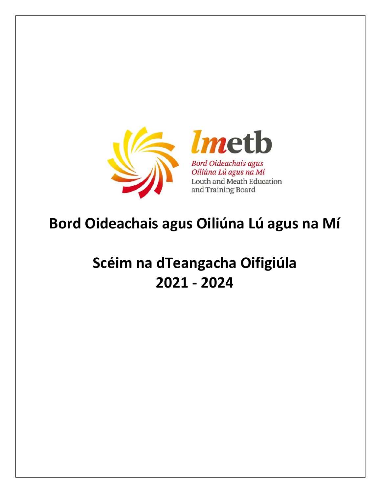

# **Bord Oideachais agus Oiliúna Lú agus na Mí**

# **Scéim na dTeangacha Oifigiúla 2021 - 2024**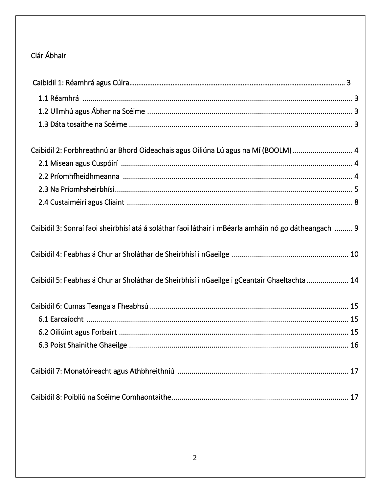# Clár Ábhair

<span id="page-1-0"></span>

| Caibidil 2: Forbhreathnú ar Bhord Oideachais agus Oiliúna Lú agus na Mí (BOOLM) 4                    |
|------------------------------------------------------------------------------------------------------|
|                                                                                                      |
|                                                                                                      |
|                                                                                                      |
|                                                                                                      |
| Caibidil 3: Sonraí faoi sheirbhísí atá á soláthar faoi láthair i mBéarla amháin nó go dátheangach  9 |
|                                                                                                      |
| Caibidil 5: Feabhas á Chur ar Sholáthar de Sheirbhísí i nGaeilge i gCeantair Ghaeltachta 14          |
|                                                                                                      |
|                                                                                                      |
|                                                                                                      |
|                                                                                                      |
|                                                                                                      |
|                                                                                                      |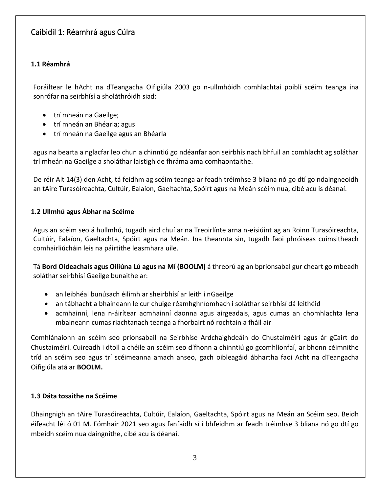### Caibidil 1: Réamhrá agus Cúlra

### <span id="page-2-0"></span>**1.1 Réamhrá**

Foráiltear le hAcht na dTeangacha Oifigiúla 2003 go n-ullmhóidh comhlachtaí poiblí scéim teanga ina sonrófar na seirbhísí a sholáthróidh siad:

- trí mheán na Gaeilge:
- trí mheán an Bhéarla; agus
- trí mheán na Gaeilge agus an Bhéarla

agus na bearta a nglacfar leo chun a chinntiú go ndéanfar aon seirbhís nach bhfuil an comhlacht ag soláthar trí mheán na Gaeilge a sholáthar laistigh de fhráma ama comhaontaithe.

De réir Alt 14(3) den Acht, tá feidhm ag scéim teanga ar feadh tréimhse 3 bliana nó go dtí go ndaingneoidh an tAire Turasóireachta, Cultúir, Ealaíon, Gaeltachta, Spóirt agus na Meán scéim nua, cibé acu is déanaí.

#### <span id="page-2-1"></span>**1.2 Ullmhú agus Ábhar na Scéime**

Agus an scéim seo á hullmhú, tugadh aird chuí ar na Treoirlínte arna n-eisiúint ag an Roinn Turasóireachta, Cultúir, Ealaíon, Gaeltachta, Spóirt agus na Meán. Ina theannta sin, tugadh faoi phróiseas cuimsitheach comhairliúcháin leis na páirtithe leasmhara uile.

Tá **Bord Oideachais agus Oiliúna Lú agus na Mí (BOOLM)** á threorú ag an bprionsabal gur cheart go mbeadh soláthar seirbhísí Gaeilge bunaithe ar:

- an leibhéal bunúsach éilimh ar sheirbhísí ar leith i nGaeilge
- an tábhacht a bhaineann le cur chuige réamhghníomhach i soláthar seirbhísí dá leithéid
- acmhainní, lena n-áirítear acmhainní daonna agus airgeadais, agus cumas an chomhlachta lena mbaineann cumas riachtanach teanga a fhorbairt nó rochtain a fháil air

Comhlánaíonn an scéim seo prionsabail na Seirbhíse Ardchaighdeáin do Chustaiméirí agus ár gCairt do Chustaiméirí. Cuireadh i dtoll a chéile an scéim seo d'fhonn a chinntiú go gcomhlíonfaí, ar bhonn céimnithe tríd an scéim seo agus trí scéimeanna amach anseo, gach oibleagáid ábhartha faoi Acht na dTeangacha Oifigiúla atá ar **BOOLM.**

#### <span id="page-2-2"></span>**1.3 Dáta tosaithe na Scéime**

Dhaingnigh an tAire Turasóireachta, Cultúir, Ealaíon, Gaeltachta, Spóirt agus na Meán an Scéim seo. Beidh éifeacht léi ó 01 M. Fómhair 2021 seo agus fanfaidh sí i bhfeidhm ar feadh tréimhse 3 bliana nó go dtí go mbeidh scéim nua daingnithe, cibé acu is déanaí.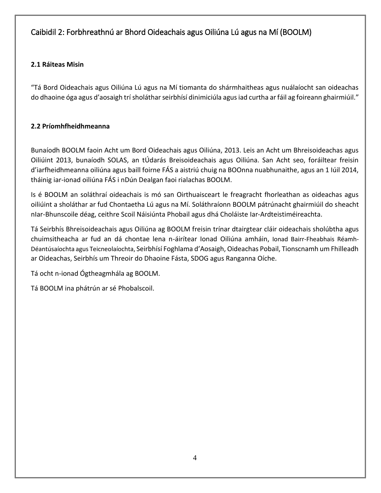## <span id="page-3-0"></span>Caibidil 2: Forbhreathnú ar Bhord Oideachais agus Oiliúna Lú agus na Mí (BOOLM)

### <span id="page-3-1"></span>**2.1 Ráiteas Misin**

"Tá Bord Oideachais agus Oiliúna Lú agus na Mí tiomanta do shármhaitheas agus nuálaíocht san oideachas do dhaoine óga agus d'aosaigh trí sholáthar seirbhísí dinimiciúla agus iad curtha ar fáil ag foireann ghairmiúil."

### <span id="page-3-2"></span>**2.2 Príomhfheidhmeanna**

Bunaíodh BOOLM faoin Acht um Bord Oideachais agus Oiliúna, 2013. Leis an Acht um Bhreisoideachas agus Oiliúint 2013, bunaíodh SOLAS, an tÚdarás Breisoideachais agus Oiliúna. San Acht seo, foráiltear freisin d'iarfheidhmeanna oiliúna agus baill foirne FÁS a aistriú chuig na BOOnna nuabhunaithe, agus an 1 Iúil 2014, tháinig iar-ionad oiliúna FÁS i nDún Dealgan faoi rialachas BOOLM.

Is é BOOLM an soláthraí oideachais is mó san Oirthuaisceart le freagracht fhorleathan as oideachas agus oiliúint a sholáthar ar fud Chontaetha Lú agus na Mí. Soláthraíonn BOOLM pátrúnacht ghairmiúil do sheacht nIar-Bhunscoile déag, ceithre Scoil Náisiúnta Phobail agus dhá Choláiste Iar-Ardteistiméireachta.

Tá Seirbhís Bhreisoideachais agus Oiliúna ag BOOLM freisin trínar dtairgtear cláir oideachais sholúbtha agus chuimsitheacha ar fud an dá chontae lena n-áirítear Ionad Oiliúna amháin, Ionad Bairr-Fheabhais Réamh-Déantúsaíochta agus Teicneolaíochta, Seirbhísí Foghlama d'Aosaigh, Oideachas Pobail, Tionscnamh um Fhilleadh ar Oideachas, Seirbhís um Threoir do Dhaoine Fásta, SDOG agus Ranganna Oíche.

Tá ocht n-ionad Ógtheagmhála ag BOOLM.

<span id="page-3-3"></span>Tá BOOLM ina phátrún ar sé Phobalscoil.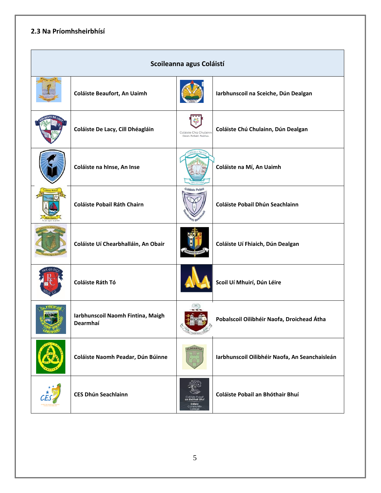### **2.3 Na Príomhsheirbhísí**

| Scoileanna agus Coláistí |                                               |                                                   |                                                |  |
|--------------------------|-----------------------------------------------|---------------------------------------------------|------------------------------------------------|--|
|                          | Coláiste Beaufort, An Uaimh                   |                                                   | Iarbhunscoil na Sceiche, Dún Dealgan           |  |
|                          | Coláiste De Lacy, Cill Dhéagláin              | Coláiste Chú Chulainn<br>Cúram, Forbairt, Feabhas | Coláiste Chú Chulainn, Dún Dealgan             |  |
|                          | Coláiste na hInse, An Inse                    |                                                   | Coláiste na Mí, An Uaimh                       |  |
|                          | <b>Coláiste Pobail Ráth Chairn</b>            | Coláiste Pobai                                    | Coláiste Pobail Dhún Seachlainn                |  |
|                          | Coláiste Uí Chearbhalláin, An Obair           |                                                   | Coláiste Uí Fhiaich, Dún Dealgan               |  |
|                          | Coláiste Ráth Tó                              |                                                   | Scoil Uí Mhuirí, Dún Léire                     |  |
| LONGWOOD                 | Iarbhunscoil Naomh Fintina, Maigh<br>Dearmhaí |                                                   | Pobalscoil Oilibhéir Naofa, Droichead Átha     |  |
|                          | Coláiste Naomh Peadar, Dún Búinne             | OLDCASTLE                                         | Iarbhunscoil Oilibhéir Naofa, An Seanchaisleán |  |
|                          | <b>CES Dhún Seachlainn</b>                    | Enfield<br>Community                              | Coláiste Pobail an Bhóthair Bhuí               |  |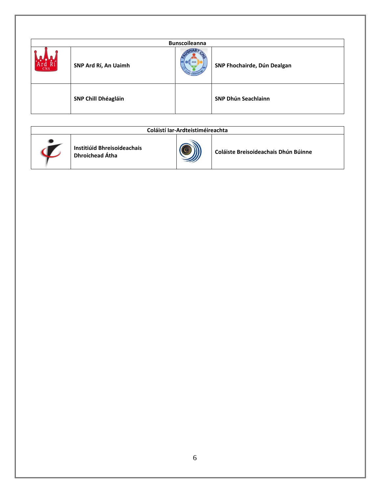|            | <b>Bunscoileanna</b>       |  |                             |  |  |
|------------|----------------------------|--|-----------------------------|--|--|
| <b>CNS</b> | SNP Ard Rí, An Uaimh       |  | SNP Fhochairde, Dún Dealgan |  |  |
|            | <b>SNP Chill Dhéagláin</b> |  | <b>SNP Dhún Seachlainn</b>  |  |  |

| Coláistí Iar-Ardteistiméireachta               |  |                                      |  |  |
|------------------------------------------------|--|--------------------------------------|--|--|
| Institiúid Bhreisoideachais<br>Dhroichead Átha |  | Coláiste Breisoideachais Dhún Búinne |  |  |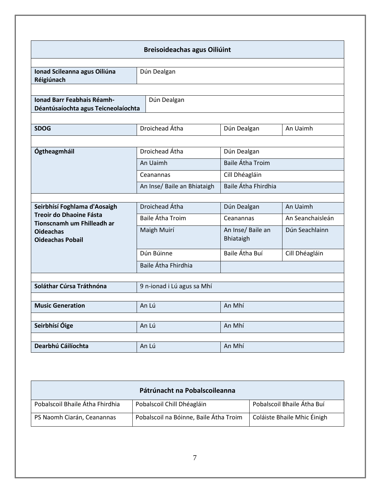| <b>Breisoideachas agus Oiliúint</b>                                                                                                         |                                                                        |                                                                                 |                                    |  |
|---------------------------------------------------------------------------------------------------------------------------------------------|------------------------------------------------------------------------|---------------------------------------------------------------------------------|------------------------------------|--|
| Ionad Scileanna agus Oiliúna<br>Réigiúnach                                                                                                  | Dún Dealgan                                                            |                                                                                 |                                    |  |
| <b>Ionad Barr Feabhais Réamh-</b><br>Dún Dealgan<br>Déantúsaíochta agus Teicneolaíochta                                                     |                                                                        |                                                                                 |                                    |  |
| <b>SDOG</b>                                                                                                                                 | Droichead Átha                                                         | Dún Dealgan                                                                     | An Uaimh                           |  |
| Ógtheagmháil                                                                                                                                | Droichead Átha<br>An Uaimh<br>Ceanannas<br>An Inse/ Baile an Bhiataigh | Dún Dealgan<br><b>Baile Átha Troim</b><br>Cill Dhéagláin<br>Baile Átha Fhirdhia |                                    |  |
|                                                                                                                                             | Droichead Átha                                                         |                                                                                 | An Uaimh                           |  |
| Seirbhísí Foghlama d'Aosaigh<br><b>Treoir do Dhaoine Fásta</b><br>Tionscnamh um Fhilleadh ar<br><b>Oideachas</b><br><b>Oideachas Pobail</b> | <b>Baile Átha Troim</b><br>Maigh Muirí                                 | Dún Dealgan<br>Ceanannas<br>An Inse/ Baile an<br>Bhiataigh                      | An Seanchaisleán<br>Dún Seachlainn |  |
|                                                                                                                                             | Dún Búinne<br>Baile Átha Fhirdhia                                      | Baile Átha Buí                                                                  | Cill Dhéagláin                     |  |
| Soláthar Cúrsa Tráthnóna                                                                                                                    | 9 n-ionad i Lú agus sa Mhí                                             |                                                                                 |                                    |  |
| <b>Music Generation</b>                                                                                                                     | An Lú                                                                  | An Mhí                                                                          |                                    |  |
| Seirbhísí Óige                                                                                                                              | An Lú                                                                  | An Mhí                                                                          |                                    |  |
| Dearbhú Cáilíochta                                                                                                                          | An Lú                                                                  | An Mhí                                                                          |                                    |  |

<span id="page-6-0"></span>

| Pátrúnacht na Pobalscoileanna   |                                        |                             |  |  |
|---------------------------------|----------------------------------------|-----------------------------|--|--|
| Pobalscoil Bhaile Átha Fhirdhia | Pobalscoil Chill Dhéagláin             | Pobalscoil Bhaile Átha Buí  |  |  |
| PS Naomh Ciarán, Ceanannas      | Pobalscoil na Bóinne, Baile Átha Troim | Coláiste Bhaile Mhic Éinigh |  |  |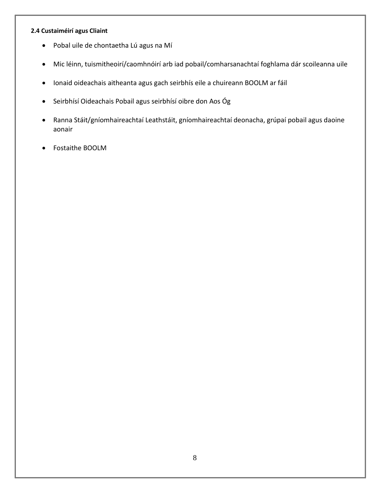### **2.4 Custaiméirí agus Cliaint**

- Pobal uile de chontaetha Lú agus na Mí
- Mic léinn, tuismitheoirí/caomhnóirí arb iad pobail/comharsanachtaí foghlama dár scoileanna uile
- Ionaid oideachais aitheanta agus gach seirbhís eile a chuireann BOOLM ar fáil
- Seirbhísí Oideachais Pobail agus seirbhísí oibre don Aos Óg
- Ranna Stáit/gníomhaireachtaí Leathstáit, gníomhaireachtaí deonacha, grúpaí pobail agus daoine aonair
- <span id="page-7-0"></span>Fostaithe BOOLM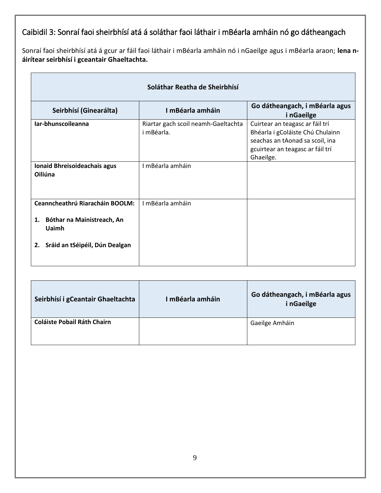# Caibidil 3: Sonraí faoi sheirbhísí atá á soláthar faoi láthair i mBéarla amháin nó go dátheangach

Sonraí faoi sheirbhísí atá á gcur ar fáil faoi láthair i mBéarla amháin nó i nGaeilge agus i mBéarla araon; **lena náirítear seirbhísí i gceantair Ghaeltachta.**

| Soláthar Reatha de Sheirbhísí                                                                                            |                                                   |                                                                                                                                                         |  |  |
|--------------------------------------------------------------------------------------------------------------------------|---------------------------------------------------|---------------------------------------------------------------------------------------------------------------------------------------------------------|--|--|
| Seirbhísí (Ginearálta)                                                                                                   | I mBéarla amháin                                  | Go dátheangach, i mBéarla agus<br><i>i</i> nGaeilge                                                                                                     |  |  |
| Iar-bhunscoileanna                                                                                                       | Riartar gach scoil neamh-Gaeltachta<br>i mBéarla. | Cuirtear an teagasc ar fáil trí<br>Bhéarla i gColáiste Chú Chulainn<br>seachas an tAonad sa scoil, ina<br>gcuirtear an teagasc ar fáil trí<br>Ghaeilge. |  |  |
| Ionaid Bhreisoideachais agus<br>Oiliúna                                                                                  | I mBéarla amháin                                  |                                                                                                                                                         |  |  |
| <b>Ceanncheathrú Riaracháin BOOLM:</b><br>Bóthar na Mainistreach, An<br>1.<br>Uaimh<br>2. Sráid an tSéipéil, Dún Dealgan | I mBéarla amháin                                  |                                                                                                                                                         |  |  |

<span id="page-8-0"></span>

| Seirbhísí i gCeantair Ghaeltachta  | I mBéarla amháin | Go dátheangach, i mBéarla agus<br>i nGaeilge |
|------------------------------------|------------------|----------------------------------------------|
| <b>Coláiste Pobail Ráth Chairn</b> |                  | Gaeilge Amháin                               |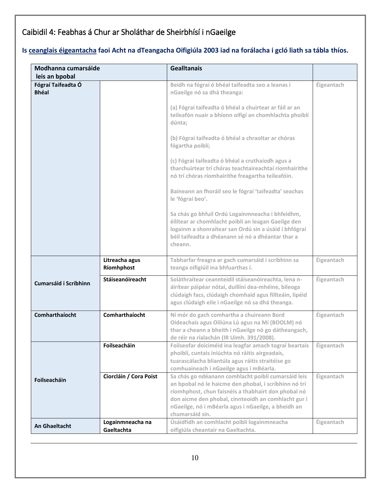# Caibidil 4: Feabhas á Chur ar Sholáthar de Sheirbhísí i nGaeilge

### **Is ceanglais éigeantacha faoi Acht na dTeangacha Oifigiúla 2003 iad na forálacha i gcló liath sa tábla thíos.**

| Modhanna cumarsáide                |                                | <b>Gealltanais</b>                                                                                                                                                                                                                                                                                   |            |
|------------------------------------|--------------------------------|------------------------------------------------------------------------------------------------------------------------------------------------------------------------------------------------------------------------------------------------------------------------------------------------------|------------|
| leis an bpobal                     |                                |                                                                                                                                                                                                                                                                                                      |            |
| Fógraí Taifeadta Ó<br><b>Bhéal</b> |                                | Beidh na fógraí ó bhéal taifeadta seo a leanas i<br>nGaeilge nó sa dhá theanga:                                                                                                                                                                                                                      | Éigeantach |
|                                    |                                | (a) Fógraí taifeadta ó bhéal a chuirtear ar fáil ar an<br>teileafón nuair a bhíonn oifigí an chomhlachta phoiblí<br>dúnta;                                                                                                                                                                           |            |
|                                    |                                | (b) Fógraí taifeadta ó bhéal a chraoltar ar chóras<br>fógartha poiblí;                                                                                                                                                                                                                               |            |
|                                    |                                | (c) Fógraí taifeadta ó bhéal a cruthaíodh agus a<br>tharchuirtear trí chóras teachtaireachtaí ríomhairithe<br>nó trí chóras ríomhairithe freagartha teileafóin.                                                                                                                                      |            |
|                                    |                                | Baineann an fhoráil seo le fógraí 'taifeadta' seachas<br>le 'fógraí beo'.                                                                                                                                                                                                                            |            |
|                                    |                                | Sa chás go bhfuil Ordú Logainmneacha i bhfeidhm,<br>éilítear ar chomhlacht poiblí an leagan Gaeilge den<br>logainm a shonraítear san Ordú sin a úsáid i bhfógraí<br>béil taifeadta a dhéanann sé nó a dhéantar thar a<br>cheann.                                                                     |            |
|                                    | Litreacha agus<br>Ríomhphost   | Tabharfar freagra ar gach cumarsáid i scríbhinn sa<br>teanga oifigiúil ina bhfuarthas í.                                                                                                                                                                                                             | Éigeantach |
| <b>Cumarsáid i Scríbhinn</b>       | Stáiseanóireacht               | Soláthraítear ceannteidil stáiseanóireachta, lena n-<br>áirítear páipéar nótaí, duillíní dea-mhéine, bileoga<br>clúdaigh facs, clúdaigh chomhaid agus fillteáin, lipéid<br>agus clúdaigh eile i nGaeilge nó sa dhá theanga.                                                                          | Éigeantach |
| Comharthaíocht                     | Comharthaíocht                 | Ní mór do gach comhartha a chuireann Bord<br>Oideachais agus Oiliúna Lú agus na Mí (BOOLM) nó<br>thar a cheann a bheith i nGaeilge nó go dátheangach,<br>de réir na rialachán (IR Uimh. 391/2008).                                                                                                   | Éigeantach |
|                                    | Foilseacháin                   | Foilseofar doiciméid ina leagfar amach tograí beartais<br>phoiblí, cuntais iniúchta nó ráitis airgeadais,<br>tuarascálacha bliantúla agus ráitis straitéise go<br>comhuaineach i nGaeilge agus i mBéarla.                                                                                            | Éigeantach |
| Foilseacháin                       | Ciorcláin / Cora Poist         | Sa chás go ndéanann comhlacht poiblí cumarsáid leis<br>an bpobal nó le haicme den phobal, i scríbhinn nó trí<br>ríomhphost, chun faisnéis a thabhairt don phobal nó<br>don aicme den phobal, cinnteoidh an comhlacht gur i<br>nGaeilge, nó i mBéarla agus i nGaeilge, a bheidh an<br>chumarsáid sin. | Éigeantach |
| An Ghaeltacht                      | Logainmneacha na<br>Gaeltachta | Úsáidfidh an comhlacht poiblí logainmneacha<br>oifigiúla cheantair na Gaeltachta.                                                                                                                                                                                                                    | Éigeantach |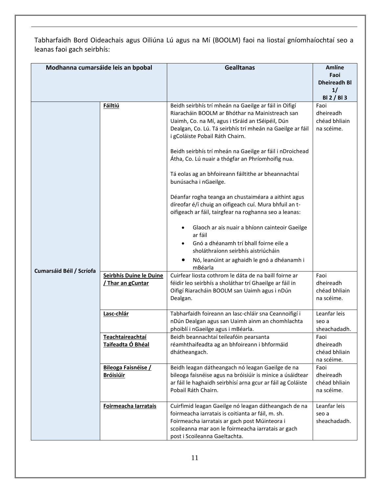Tabharfaidh Bord Oideachais agus Oiliúna Lú agus na Mí (BOOLM) faoi na liostaí gníomhaíochtaí seo a leanas faoi gach seirbhís:

| Modhanna cumarsáide leis an bpobal |                         | <b>Gealltanas</b>                                                                  | <b>Amlíne</b>               |
|------------------------------------|-------------------------|------------------------------------------------------------------------------------|-----------------------------|
|                                    |                         |                                                                                    | Faoi                        |
|                                    |                         |                                                                                    | <b>Dheireadh Bl</b>         |
|                                    |                         |                                                                                    | 1/                          |
|                                    | <b>Fáiltiú</b>          | Beidh seirbhís trí mheán na Gaeilge ar fáil in Oifigí                              | <b>BI2/BI3</b><br>Faoi      |
|                                    |                         | Riaracháin BOOLM ar Bhóthar na Mainistreach san                                    | dheireadh                   |
|                                    |                         | Uaimh, Co. na Mí, agus i tSráid an tSéipéil, Dún                                   | chéad bhliain               |
|                                    |                         | Dealgan, Co. Lú. Tá seirbhís trí mheán na Gaeilge ar fáil                          | na scéime.                  |
|                                    |                         | i gColáiste Pobail Ráth Chairn.                                                    |                             |
|                                    |                         |                                                                                    |                             |
|                                    |                         | Beidh seirbhís trí mheán na Gaeilge ar fáil i nDroichead                           |                             |
|                                    |                         | Átha, Co. Lú nuair a thógfar an Phríomhoifig nua.                                  |                             |
|                                    |                         |                                                                                    |                             |
|                                    |                         | Tá eolas ag an bhfoireann fáiltithe ar bheannachtaí                                |                             |
|                                    |                         | bunúsacha i nGaeilge.                                                              |                             |
|                                    |                         | Déanfar rogha teanga an chustaiméara a aithint agus                                |                             |
|                                    |                         | díreofar é/í chuig an oifigeach cuí. Mura bhfuil an t-                             |                             |
|                                    |                         | oifigeach ar fáil, tairgfear na roghanna seo a leanas:                             |                             |
|                                    |                         |                                                                                    |                             |
|                                    |                         | Glaoch ar ais nuair a bhíonn cainteoir Gaeilge<br>$\bullet$                        |                             |
|                                    |                         | ar fáil                                                                            |                             |
|                                    |                         | Gnó a dhéanamh trí bhall foirne eile a                                             |                             |
|                                    |                         | sholáthraíonn seirbhís aistriúcháin                                                |                             |
|                                    |                         | Nó, leanúint ar aghaidh le gnó a dhéanamh i                                        |                             |
| Cumarsáid Béil / Scríofa           |                         | mBéarla                                                                            |                             |
|                                    | Seirbhís Duine le Duine | Cuirfear liosta cothrom le dáta de na baill foirne ar                              | Faoi                        |
|                                    | / Thar an gCuntar       | féidir leo seirbhís a sholáthar trí Ghaeilge ar fáil in                            | dheireadh                   |
|                                    |                         | Oifigí Riaracháin BOOLM san Uaimh agus i nDún                                      | chéad bhliain               |
|                                    |                         | Dealgan.                                                                           | na scéime.                  |
|                                    | Lasc-chlár              | Tabharfaidh foireann an lasc-chláir sna Ceannoifigí i                              | Leanfar leis                |
|                                    |                         | nDún Dealgan agus san Uaimh ainm an chomhlachta                                    | seo a                       |
|                                    |                         | phoiblí i nGaeilge agus i mBéarla.                                                 | sheachadadh.                |
|                                    | Teachtaireachtaí        | Beidh beannachtaí teileafóin pearsanta                                             | Faoi                        |
|                                    | Taifeadta Ó Bhéal       | réamhthaifeadta ag an bhfoireann i bhformáid                                       | dheireadh                   |
|                                    |                         | dhátheangach.                                                                      | chéad bhliain               |
|                                    |                         |                                                                                    | na scéime.                  |
|                                    | Bileoga Faisnéise /     | Beidh leagan dátheangach nó leagan Gaeilge de na                                   | Faoi                        |
|                                    | <b>Bróisiúir</b>        | bileoga faisnéise agus na bróisiúir is minice a úsáidtear                          | dheireadh                   |
|                                    |                         | ar fáil le haghaidh seirbhísí arna gcur ar fáil ag Coláiste<br>Pobail Ráth Chairn. | chéad bhliain<br>na scéime. |
|                                    |                         |                                                                                    |                             |
|                                    | Foirmeacha Iarratais    | Cuirfimid leagan Gaeilge nó leagan dátheangach de na                               | Leanfar leis                |
|                                    |                         | foirmeacha iarratais is coitianta ar fáil, m. sh.                                  | seo a                       |
|                                    |                         | Foirmeacha iarratais ar gach post Múinteora i                                      | sheachadadh.                |
|                                    |                         | scoileanna mar aon le foirmeacha iarratais ar gach                                 |                             |
|                                    |                         | post i Scoileanna Gaeltachta.                                                      |                             |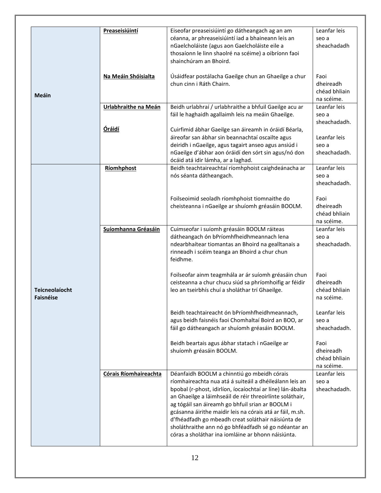|                                           | Preaseisiúintí        | Eiseofar preaseisiúintí go dátheangach ag an am<br>céanna, ar phreaseisiúintí iad a bhaineann leis an<br>nGaelcholáiste (agus aon Gaelcholáiste eile a<br>thosaíonn le linn shaolré na scéime) a oibríonn faoi<br>shainchúram an Bhoird.                                                                                                                                                                                                                                                                              | Leanfar leis<br>seo a<br>sheachadadh             |
|-------------------------------------------|-----------------------|-----------------------------------------------------------------------------------------------------------------------------------------------------------------------------------------------------------------------------------------------------------------------------------------------------------------------------------------------------------------------------------------------------------------------------------------------------------------------------------------------------------------------|--------------------------------------------------|
| Meáin                                     | Na Meáin Shóisialta   | Úsáidfear postálacha Gaeilge chun an Ghaeilge a chur<br>chun cinn i Ráth Chairn.                                                                                                                                                                                                                                                                                                                                                                                                                                      | Faoi<br>dheireadh<br>chéad bhliain<br>na scéime. |
|                                           | Urlabhraithe na Meán  | Beidh urlabhraí / urlabhraithe a bhfuil Gaeilge acu ar<br>fáil le haghaidh agallaimh leis na meáin Ghaeilge.                                                                                                                                                                                                                                                                                                                                                                                                          | Leanfar leis<br>seo a<br>sheachadadh.            |
|                                           | <b>Óráidí</b>         | Cuirfimid ábhar Gaeilge san áireamh in óráidí Béarla,<br>áireofar san ábhar sin beannachtaí oscailte agus<br>deiridh i nGaeilge, agus tagairt anseo agus ansiúd i<br>nGaeilge d'ábhar aon óráidí den sórt sin agus/nó don<br>ócáid atá idir lámha, ar a laghad.                                                                                                                                                                                                                                                       | Leanfar leis<br>seo a<br>sheachadadh.            |
|                                           | Ríomhphost            | Beidh teachtaireachtaí ríomhphoist caighdeánacha ar<br>nós séanta dátheangach.                                                                                                                                                                                                                                                                                                                                                                                                                                        | Leanfar leis<br>seo a<br>sheachadadh.            |
|                                           |                       | Foilseoimid seoladh ríomhphoist tiomnaithe do<br>cheisteanna i nGaeilge ar shuíomh gréasáin BOOLM.                                                                                                                                                                                                                                                                                                                                                                                                                    | Faoi<br>dheireadh<br>chéad bhliain<br>na scéime. |
|                                           | Suíomhanna Gréasáin   | Cuimseofar i suíomh gréasáin BOOLM ráiteas<br>dátheangach ón bPríomhfheidhmeannach lena<br>ndearbhaítear tiomantas an Bhoird na gealltanais a<br>rinneadh i scéim teanga an Bhoird a chur chun<br>feidhme.                                                                                                                                                                                                                                                                                                            | Leanfar leis<br>seo a<br>sheachadadh.            |
| <b>Teicneolaíocht</b><br><b>Faisnéise</b> |                       | Foilseofar ainm teagmhála ar ár suíomh gréasáin chun<br>ceisteanna a chur chucu siúd sa phríomhoifig ar féidir<br>leo an tseirbhís chuí a sholáthar trí Ghaeilge.                                                                                                                                                                                                                                                                                                                                                     | Faoi<br>dheireadh<br>chéad bhliain<br>na scéime. |
|                                           |                       | Beidh teachtaireacht ón bPríomhfheidhmeannach,<br>agus beidh faisnéis faoi Chomhaltaí Boird an BOO, ar<br>fáil go dátheangach ar shuíomh gréasáin BOOLM.                                                                                                                                                                                                                                                                                                                                                              | Leanfar leis<br>seo a<br>sheachadadh.            |
|                                           |                       | Beidh beartais agus ábhar statach i nGaeilge ar<br>shuíomh gréasáin BOOLM.                                                                                                                                                                                                                                                                                                                                                                                                                                            | Faoi<br>dheireadh<br>chéad bhliain<br>na scéime. |
|                                           | Córais Ríomhaireachta | Déanfaidh BOOLM a chinntiú go mbeidh córais<br>ríomhaireachta nua atá á suiteáil a dhéileálann leis an<br>bpobal (r-phost, idirlíon, íocaíochtaí ar líne) lán-ábalta<br>an Ghaeilge a láimhseáil de réir threoirlínte soláthair,<br>ag tógáil san áireamh go bhfuil srian ar BOOLM i<br>gcásanna áirithe maidir leis na córais atá ar fáil, m.sh.<br>d'fhéadfadh go mbeadh creat soláthair náisiúnta de<br>sholáthraithe ann nó go bhféadfadh sé go ndéantar an<br>córas a sholáthar ina iomláine ar bhonn náisiúnta. | Leanfar leis<br>seo a<br>sheachadadh.            |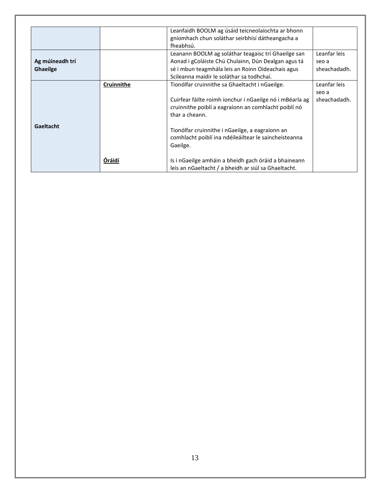<span id="page-12-0"></span>

|                 |            | Leanfaidh BOOLM ag úsáid teicneolaíochta ar bhonn        |              |
|-----------------|------------|----------------------------------------------------------|--------------|
|                 |            | gníomhach chun soláthar seirbhísí dátheangacha a         |              |
|                 |            | fheabhsú.                                                |              |
|                 |            | Leanann BOOLM ag soláthar teagaisc trí Ghaeilge san      | Leanfar leis |
| Ag múineadh trí |            | Aonad i gColáiste Chú Chulainn, Dún Dealgan agus tá      | seo a        |
| Ghaeilge        |            | sé i mbun teagmhála leis an Roinn Oideachais agus        | sheachadadh. |
|                 |            | Scileanna maidir le soláthar sa todhchaí.                |              |
|                 | Cruinnithe | Tionólfar cruinnithe sa Ghaeltacht i nGaeilge.           | Leanfar leis |
|                 |            |                                                          | seo a        |
|                 |            | Cuirfear fáilte roimh ionchur i nGaeilge nó i mBéarla ag | sheachadadh. |
|                 |            | cruinnithe poiblí a eagraíonn an comhlacht poiblí nó     |              |
|                 |            | thar a cheann.                                           |              |
|                 |            |                                                          |              |
| Gaeltacht       |            | Tionólfar cruinnithe i nGaeilge, a eagraíonn an          |              |
|                 |            | comhlacht poiblí ina ndéileáiltear le saincheisteanna    |              |
|                 |            | Gaeilge.                                                 |              |
|                 |            |                                                          |              |
|                 | Óráidí     | Is i nGaeilge amháin a bheidh gach óráid a bhaineann     |              |
|                 |            | leis an nGaeltacht / a bheidh ar siúl sa Ghaeltacht.     |              |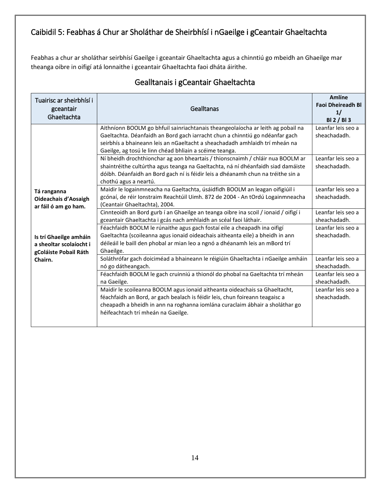# Caibidil 5: Feabhas á Chur ar Sholáthar de Sheirbhísí i nGaeilge i gCeantair Ghaeltachta

Feabhas a chur ar sholáthar seirbhísí Gaeilge i gceantair Ghaeltachta agus a chinntiú go mbeidh an Ghaeilge mar theanga oibre in oifigí atá lonnaithe i gceantair Ghaeltachta faoi dháta áirithe.

<span id="page-13-0"></span>

| Tuairisc ar sheirbhísí i<br>gceantair<br>Ghaeltachta                                                                                                        | Gealltanas                                                                                                                                                                                                                                                                                                | <b>Amlíne</b><br><b>Faoi Dheireadh Bl</b><br>1/<br><b>BI2/BI3</b> |
|-------------------------------------------------------------------------------------------------------------------------------------------------------------|-----------------------------------------------------------------------------------------------------------------------------------------------------------------------------------------------------------------------------------------------------------------------------------------------------------|-------------------------------------------------------------------|
|                                                                                                                                                             | Aithníonn BOOLM go bhfuil sainriachtanais theangeolaíocha ar leith ag pobail na<br>Gaeltachta. Déanfaidh an Bord gach iarracht chun a chinntiú go ndéanfar gach<br>seirbhís a bhaineann leis an nGaeltacht a sheachadadh amhlaidh trí mheán na<br>Gaeilge, ag tosú le linn chéad bhliain a scéime teanga. | Leanfar leis seo a<br>sheachadadh.                                |
| Tá ranganna<br><b>Oideachais d'Aosaigh</b><br>ar fáil ó am go ham.<br>Is trí Ghaeilge amháin<br>a sheoltar scolaíocht i<br>gColáiste Pobail Ráth<br>Chairn. | Ní bheidh drochthionchar ag aon bheartais / thionscnaimh / chláir nua BOOLM ar<br>shaintréithe cultúrtha agus teanga na Gaeltachta, ná ní dhéanfaidh siad damáiste<br>dóibh. Déanfaidh an Bord gach ní is féidir leis a dhéanamh chun na tréithe sin a<br>chothú agus a neartú.                           | Leanfar leis seo a<br>sheachadadh.                                |
|                                                                                                                                                             | Maidir le logainmneacha na Gaeltachta, úsáidfidh BOOLM an leagan oifigiúil i<br>gcónaí, de réir Ionstraim Reachtúil Uimh. 872 de 2004 - An tOrdú Logainmneacha<br>(Ceantair Ghaeltachta), 2004.                                                                                                           | Leanfar leis seo a<br>sheachadadh.                                |
|                                                                                                                                                             | Cinnteoidh an Bord gurb í an Ghaeilge an teanga oibre ina scoil / ionaid / oifigí i<br>gceantair Ghaeltachta i gcás nach amhlaidh an scéal faoi láthair.                                                                                                                                                  | Leanfar leis seo a<br>sheachadadh.                                |
|                                                                                                                                                             | Féachfaidh BOOLM le rúnaithe agus gach fostaí eile a cheapadh ina oifigí<br>Gaeltachta (scoileanna agus ionaid oideachais aitheanta eile) a bheidh in ann<br>déileáil le baill den phobal ar mian leo a ngnó a dhéanamh leis an mBord trí<br>Ghaeilge.                                                    | Leanfar leis seo a<br>sheachadadh.                                |
|                                                                                                                                                             | Soláthrófar gach doiciméad a bhaineann le réigiúin Ghaeltachta i nGaeilge amháin<br>nó go dátheangach.                                                                                                                                                                                                    | Leanfar leis seo a<br>sheachadadh.                                |
|                                                                                                                                                             | Féachfaidh BOOLM le gach cruinniú a thionól do phobal na Gaeltachta trí mheán<br>na Gaeilge.                                                                                                                                                                                                              | Leanfar leis seo a<br>sheachadadh.                                |
|                                                                                                                                                             | Maidir le scoileanna BOOLM agus ionaid aitheanta oideachais sa Ghaeltacht,<br>féachfaidh an Bord, ar gach bealach is féidir leis, chun foireann teagaisc a<br>cheapadh a bheidh in ann na roghanna iomlána curaclaim ábhair a sholáthar go<br>héifeachtach trí mheán na Gaeilge.                          | Leanfar leis seo a<br>sheachadadh.                                |

### Gealltanais i gCeantair Ghaeltachta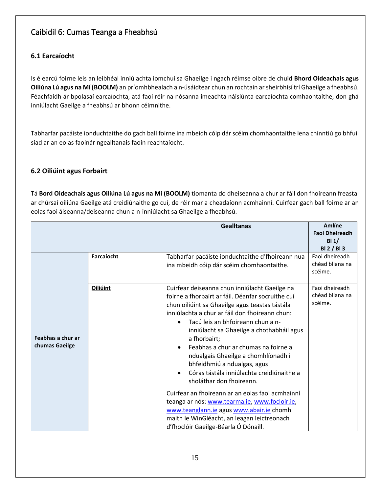## Caibidil 6: Cumas Teanga a Fheabhsú

### <span id="page-14-0"></span>**6.1 Earcaíocht**

Is é earcú foirne leis an leibhéal inniúlachta iomchuí sa Ghaeilge i ngach réimse oibre de chuid **Bhord Oideachais agus Oiliúna Lú agus na Mí (BOOLM)** an príomhbhealach a n-úsáidtear chun an rochtain arsheirbhísí trí Ghaeilge a fheabhsú. Féachfaidh ár bpolasaí earcaíochta, atá faoi réir na nósanna imeachta náisiúnta earcaíochta comhaontaithe, don ghá inniúlacht Gaeilge a fheabhsú ar bhonn céimnithe.

Tabharfar pacáiste ionduchtaithe do gach ball foirne ina mbeidh cóip dár scéim chomhaontaithe lena chinntiú go bhfuil siad ar an eolas faoinár ngealltanais faoin reachtaíocht.

#### <span id="page-14-1"></span>**6.2 Oiliúint agus Forbairt**

Tá **Bord Oideachais agus Oiliúna Lú agus na Mí (BOOLM)** tiomanta do dheiseanna a chur ar fáil don fhoireann freastal ar chúrsaí oiliúna Gaeilge atá creidiúnaithe go cuí, de réir mar a cheadaíonn acmhainní. Cuirfear gach ball foirne ar an eolas faoi áiseanna/deiseanna chun a n-inniúlacht sa Ghaeilge a fheabhsú.

<span id="page-14-2"></span>

|                                     |            | <b>Gealltanas</b>                                                                                                                                                                                                                                                                                                                                                                                                                                                                                                                                                                                                                                                                                                                                    | <b>Amlíne</b><br><b>Faoi Dheireadh</b><br>BI1/<br>BI 2 / BI 3 |
|-------------------------------------|------------|------------------------------------------------------------------------------------------------------------------------------------------------------------------------------------------------------------------------------------------------------------------------------------------------------------------------------------------------------------------------------------------------------------------------------------------------------------------------------------------------------------------------------------------------------------------------------------------------------------------------------------------------------------------------------------------------------------------------------------------------------|---------------------------------------------------------------|
|                                     | Earcaíocht | Tabharfar pacáiste ionduchtaithe d'fhoireann nua<br>ina mbeidh cóip dár scéim chomhaontaithe.                                                                                                                                                                                                                                                                                                                                                                                                                                                                                                                                                                                                                                                        | Faoi dheireadh<br>chéad bliana na<br>scéime.                  |
| Feabhas a chur ar<br>chumas Gaeilge | Oiliúint   | Cuirfear deiseanna chun inniúlacht Gaeilge na<br>foirne a fhorbairt ar fáil. Déanfar socruithe cuí<br>chun oiliúint sa Ghaeilge agus teastas tástála<br>inniúlachta a chur ar fáil don fhoireann chun:<br>Tacú leis an bhfoireann chun a n-<br>$\bullet$<br>inniúlacht sa Ghaeilge a chothabháil agus<br>a fhorbairt;<br>Feabhas a chur ar chumas na foirne a<br>ndualgais Ghaeilge a chomhlíonadh i<br>bhfeidhmiú a ndualgas, agus<br>Córas tástála inniúlachta creidiúnaithe a<br>sholáthar don fhoireann.<br>Cuirfear an fhoireann ar an eolas faoi acmhainní<br>teanga ar nós: www.tearma.ie, www.focloir.ie,<br>www.teanglann.ie agus www.abair.ie chomh<br>maith le WinGléacht, an leagan leictreonach<br>d'fhoclóir Gaeilge-Béarla Ó Dónaill. | Faoi dheireadh<br>chéad bliana na<br>scéime.                  |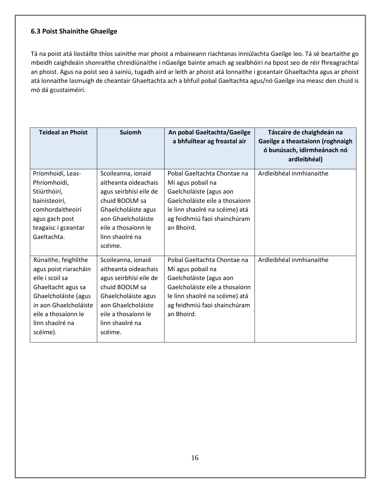#### **6.3 Poist Shainithe Ghaeilge**

Tá na poist atá liostáilte thíos sainithe mar phoist a mbaineann riachtanas inniúlachta Gaeilge leo. Tá sé beartaithe go mbeidh caighdeáin shonraithe chreidiúnaithe i nGaeilge bainte amach ag sealbhóirí na bpost seo de réir fhreagrachtaí an phoist. Agus na poist seo á sainiú, tugadh aird ar leith ar phoist atá lonnaithe i gceantair Ghaeltachta agus ar phoist atá lonnaithe lasmuigh de cheantair Ghaeltachta ach a bhfuil pobal Gaeltachta agus/nó Gaeilge ina measc den chuid is mó dá gcustaiméirí.

| <b>Teideal an Phoist</b>                                                                                                                                                                      | Suíomh                                                                                                                                                                                   | An pobal Gaeltachta/Gaeilge<br>a bhfuiltear ag freastal air                                                                                                                                   | Táscaire de chaighdeán na<br>Gaeilge a theastaíonn (roghnaigh<br>ó bunúsach, idirmheánach nó<br>ardleibhéal) |
|-----------------------------------------------------------------------------------------------------------------------------------------------------------------------------------------------|------------------------------------------------------------------------------------------------------------------------------------------------------------------------------------------|-----------------------------------------------------------------------------------------------------------------------------------------------------------------------------------------------|--------------------------------------------------------------------------------------------------------------|
| Príomhoidí, Leas-<br>Phríomhoidí,<br>Stiúrthóirí,<br>bainisteoirí,<br>comhordaitheoirí<br>agus gach post<br>teagaisc i gceantar<br>Gaeltachta.                                                | Scoileanna, ionaid<br>aitheanta oideachais<br>agus seirbhísí eile de<br>chuid BOOLM sa<br>Ghaelcholáiste agus<br>aon Ghaelcholáiste<br>eile a thosaíonn le<br>linn shaolré na<br>scéime. | Pobal Gaeltachta Chontae na<br>Mí agus pobail na<br>Gaelcholáiste (agus aon<br>Gaelcholáiste eile a thosaíonn<br>le linn shaolré na scéime) atá<br>ag feidhmiú faoi shainchúram<br>an Bhoird. | Ardleibhéal inmhianaithe                                                                                     |
| Rúnaithe, feighlithe<br>agus poist riaracháin<br>eile i scoil sa<br>Ghaeltacht agus sa<br>Ghaelcholáiste (agus<br>in aon Ghaelcholáiste<br>eile a thosaíonn le<br>linn shaolré na<br>scéime). | Scoileanna, ionaid<br>aitheanta oideachais<br>agus seirbhísí eile de<br>chuid BOOLM sa<br>Ghaelcholáiste agus<br>aon Ghaelcholáiste<br>eile a thosaíonn le<br>linn shaolré na<br>scéime. | Pobal Gaeltachta Chontae na<br>Mí agus pobail na<br>Gaelcholáiste (agus aon<br>Gaelcholáiste eile a thosaíonn<br>le linn shaolré na scéime) atá<br>ag feidhmiú faoi shainchúram<br>an Bhoird. | Ardleibhéal inmhianaithe                                                                                     |